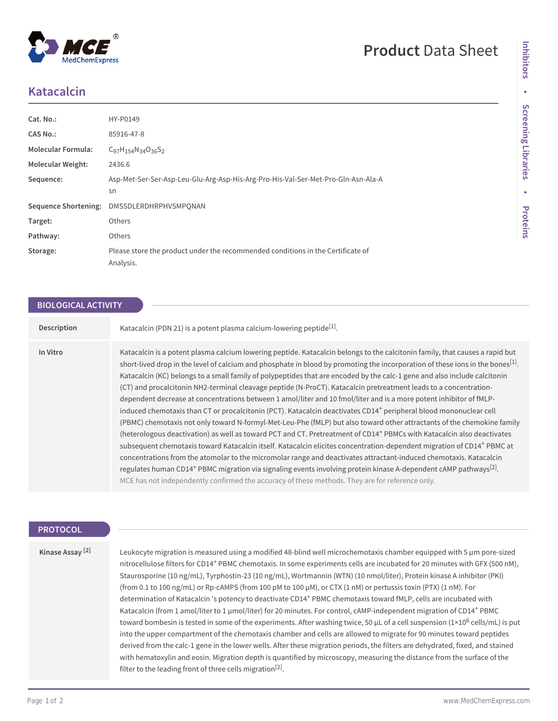## **Product** Data Sheet

# **Katacalcin**

| Cat. No.:                   | HY-P0149                                                                                     |
|-----------------------------|----------------------------------------------------------------------------------------------|
| CAS No.:                    | 85916-47-8                                                                                   |
| <b>Molecular Formula:</b>   | $C_{97}H_{154}N_{34}O_{36}S_2$                                                               |
| <b>Molecular Weight:</b>    | 2436.6                                                                                       |
| Sequence:                   | Asp-Met-Ser-Ser-Asp-Leu-Glu-Arg-Asp-His-Arg-Pro-His-Val-Ser-Met-Pro-Gln-Asn-Ala-A            |
|                             | sn                                                                                           |
| <b>Sequence Shortening:</b> | DMSSDLERDHRPHVSMPONAN                                                                        |
| Target:                     | Others                                                                                       |
| Pathway:                    | Others                                                                                       |
| Storage:                    | Please store the product under the recommended conditions in the Certificate of<br>Analysis. |

## **BIOLOGICAL ACTIVITY**

| Description | Katacalcin (PDN 21) is a potent plasma calcium-lowering peptide <sup>[1]</sup> .                                                                                                                                                                                                                                                                                                                                                                                                                                                                                                                                                                                                                                                                                                                                                                                                                                                                                                                                                                                                                                                                                                                                                                                                                                                                                                                                                                                                                                                                                  |
|-------------|-------------------------------------------------------------------------------------------------------------------------------------------------------------------------------------------------------------------------------------------------------------------------------------------------------------------------------------------------------------------------------------------------------------------------------------------------------------------------------------------------------------------------------------------------------------------------------------------------------------------------------------------------------------------------------------------------------------------------------------------------------------------------------------------------------------------------------------------------------------------------------------------------------------------------------------------------------------------------------------------------------------------------------------------------------------------------------------------------------------------------------------------------------------------------------------------------------------------------------------------------------------------------------------------------------------------------------------------------------------------------------------------------------------------------------------------------------------------------------------------------------------------------------------------------------------------|
| In Vitro    | Katacalcin is a potent plasma calcium lowering peptide. Katacalcin belongs to the calcitonin family, that causes a rapid but<br>short-lived drop in the level of calcium and phosphate in blood by promoting the incorporation of these ions in the bones <sup>[1]</sup> .<br>Katacalcin (KC) belongs to a small family of polypeptides that are encoded by the calc-1 gene and also include calcitonin<br>(CT) and procalcitonin NH2-terminal cleavage peptide (N-ProCT). Katacalcin pretreatment leads to a concentration-<br>dependent decrease at concentrations between 1 amol/liter and 10 fmol/liter and is a more potent inhibitor of fMLP-<br>induced chemotaxis than CT or procalcitonin (PCT). Katacalcin deactivates CD14 <sup>+</sup> peripheral blood mononuclear cell<br>(PBMC) chemotaxis not only toward N-formyl-Met-Leu-Phe (fMLP) but also toward other attractants of the chemokine family<br>(heterologous deactivation) as well as toward PCT and CT. Pretreatment of CD14 <sup>+</sup> PBMCs with Katacalcin also deactivates<br>subsequent chemotaxis toward Katacalcin itself. Katacalcin elicites concentration-dependent migration of CD14 <sup>+</sup> PBMC at<br>concentrations from the atomolar to the micromolar range and deactivates attractant-induced chemotaxis. Katacalcin<br>regulates human CD14 <sup>+</sup> PBMC migration via signaling events involving protein kinase A-dependent cAMP pathways <sup>[2]</sup> .<br>MCE has not independently confirmed the accuracy of these methods. They are for reference only. |

### **PROTOCOL**

**Kinase Assay [2]**

Leukocyte migration is measured using a modified 48-blind well microchemotaxis chamber equipped with 5 μm pore-sized nitrocellulose filters for CD14<sup>+</sup> PBMC chemotaxis. In some experiments cells are incubated for 20 minutes with GFX (500 nM), Staurosporine (10 ng/mL), Tyrphostin-23 (10 ng/mL), Wortmannin (WTN) (10 nmol/liter), Protein kinase A inhibitor (PKI) (from 0.1 to 100 ng/mL) or Rp-cAMPS (from 100 pM to 100 μM), or CTX (1 nM) or pertussis toxin (PTX) (1 nM). For determination of Katacalcin 's potency to deactivate CD14<sup>+</sup> PBMC chemotaxis toward fMLP, cells are incubated with Katacalcin (from 1 amol/liter to 1 μmol/liter) for 20 minutes. For control, cAMP-independent migration of CD14<sup>+</sup> PBMC toward bombesin is tested in some of the experiments. After washing twice, 50 μL of a cell suspension (1×10<sup>6</sup> cells/mL) is put into the upper compartment of the chemotaxis chamber and cells are allowed to migrate for 90 minutes toward peptides derived from the calc-1 gene in the lower wells. After these migration periods, the filters are dehydrated, fixed, and stained with hematoxylin and eosin. Migration depth is quantified by microscopy, measuring the distance from the surface of the filter to the leading front of three cells migration $^{[2]}$ .